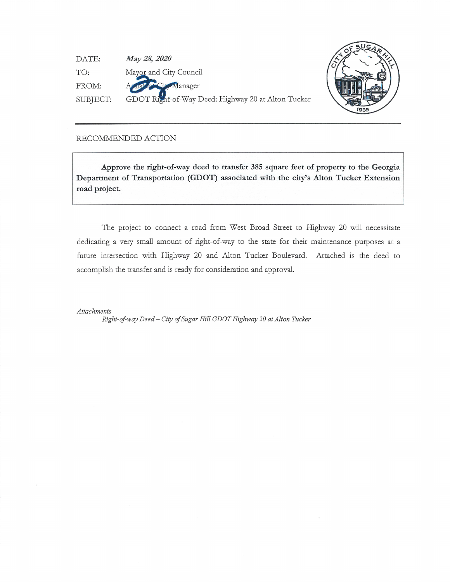| DATE:    | May 28, 2020                                       |
|----------|----------------------------------------------------|
| TO:      | Mayor and City Council                             |
| FROM:    | A oust proclam Manager                             |
| SUBJECT: | GDOT Right-of-Way Deed: Highway 20 at Alton Tucker |



## RECOMMENDED ACTION

**Approve the right-of-way deed to transfer 385 square feet of property to the Georgia Department of Transportation (GDOT) associated with the city's Alton Tucker Extension road project.** 

The project to connect a road from West Broad Street to Highway 20 will necessitate dedicating a very small amount of right-of-way to the state for their maintenance purposes at a future intersection with Highway 20 and Alton Tucker Boulevard. Attached is the deed to accomplish the transfer and is ready for consideration and approval.

*Attachments* 

*Right-of way Deed* - *City of Sugar Hill GDOT Highway 20 at Alton Tucker*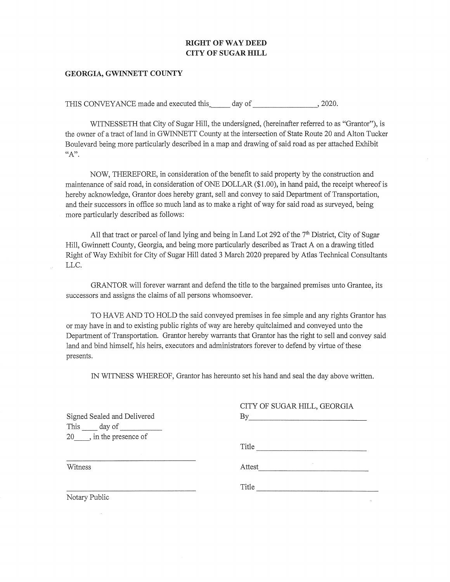## **RIGHT OF WAY DEED CITY OF SUGAR HILL**

## **GEORGIA, GWINNETT COUNTY**

THIS CONVEYANCE made and executed this day of , 2020.

WITNESSETH that City of Sugar Hill, the undersigned, (hereinafter referred to as "Grantor"), is the owner of a tract of land in GWINNETT County at the intersection of State Route 20 and Alton Tucker Boulevard being more particularly described in a map and drawing of said road as per attached Exhibit "A".

NOW, THEREFORE, in consideration of the benefit to said property by the construction and maintenance of said road, in consideration of ONE DOLLAR (\$1.00), in hand paid, the receipt whereof is hereby acknowledge, Grantor does hereby grant, sell and convey to said Department of Transportation, and their successors in office so much land as to make a right of way for said road as surveyed, being more particularly described as follows:

All that tract or parcel of land lying and being in Land Lot 292 of the 7<sup>th</sup> District, City of Sugar Hill, Gwinnett County, Georgia, and being more particularly described as Tract A on a drawing titled Right of Way Exhibit for City of Sugar Hill dated 3 March 2020 prepared by Atlas Technical Consultants LLC.

GRANTOR will forever warrant and defend the title to the bargained premises unto Grantee, its successors and assigns the claims of all persons whomsoever.

TO HA VE AND TO HOLD the said conveyed premises in fee simple and any rights Grantor has or may have in and to existing public rights of way are hereby quitclaimed and conveyed unto the Department of Transportation. Grantor hereby warrants that Grantor has the right to sell and convey said land and bind himself, his heirs, executors and administrators forever to defend by virtue of these presents.

IN WITNESS WHEREOF, Grantor has hereunto set his hand and seal the day above written.

 $GIMY$  OF  $GIMY$   $RIMY$ ,  $GFOP$  $GY$ 

|                             | CITY OF SUGAR HILL, GEORGIA |
|-----------------------------|-----------------------------|
| Signed Sealed and Delivered | By                          |
|                             |                             |
| 20, in the presence of      |                             |
|                             | Title                       |
| Witness                     | Attest                      |
|                             | Title                       |
| Notary Public               |                             |